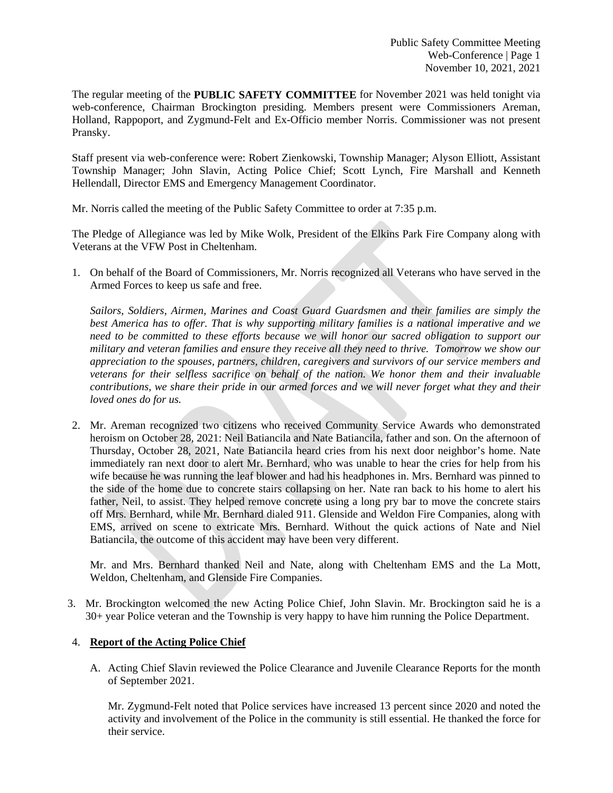The regular meeting of the **PUBLIC SAFETY COMMITTEE** for November 2021 was held tonight via web-conference, Chairman Brockington presiding. Members present were Commissioners Areman, Holland, Rappoport, and Zygmund-Felt and Ex-Officio member Norris. Commissioner was not present Pransky.

Staff present via web-conference were: Robert Zienkowski, Township Manager; Alyson Elliott, Assistant Township Manager; John Slavin, Acting Police Chief; Scott Lynch, Fire Marshall and Kenneth Hellendall, Director EMS and Emergency Management Coordinator.

Mr. Norris called the meeting of the Public Safety Committee to order at 7:35 p.m.

The Pledge of Allegiance was led by Mike Wolk, President of the Elkins Park Fire Company along with Veterans at the VFW Post in Cheltenham.

1. On behalf of the Board of Commissioners, Mr. Norris recognized all Veterans who have served in the Armed Forces to keep us safe and free.

*Sailors, Soldiers, Airmen, Marines and Coast Guard Guardsmen and their families are simply the best America has to offer. That is why supporting military families is a national imperative and we need to be committed to these efforts because we will honor our sacred obligation to support our military and veteran families and ensure they receive all they need to thrive. Tomorrow we show our appreciation to the spouses, partners, children, caregivers and survivors of our service members and veterans for their selfless sacrifice on behalf of the nation. We honor them and their invaluable contributions, we share their pride in our armed forces and we will never forget what they and their loved ones do for us.*

2. Mr. Areman recognized two citizens who received Community Service Awards who demonstrated heroism on October 28, 2021: Neil Batiancila and Nate Batiancila, father and son. On the afternoon of Thursday, October 28, 2021, Nate Batiancila heard cries from his next door neighbor's home. Nate immediately ran next door to alert Mr. Bernhard, who was unable to hear the cries for help from his wife because he was running the leaf blower and had his headphones in. Mrs. Bernhard was pinned to the side of the home due to concrete stairs collapsing on her. Nate ran back to his home to alert his father, Neil, to assist. They helped remove concrete using a long pry bar to move the concrete stairs off Mrs. Bernhard, while Mr. Bernhard dialed 911. Glenside and Weldon Fire Companies, along with EMS, arrived on scene to extricate Mrs. Bernhard. Without the quick actions of Nate and Niel Batiancila, the outcome of this accident may have been very different.

 Mr. and Mrs. Bernhard thanked Neil and Nate, along with Cheltenham EMS and the La Mott, Weldon, Cheltenham, and Glenside Fire Companies.

3. Mr. Brockington welcomed the new Acting Police Chief, John Slavin. Mr. Brockington said he is a 30+ year Police veteran and the Township is very happy to have him running the Police Department.

## 4. **Report of the Acting Police Chief**

A. Acting Chief Slavin reviewed the Police Clearance and Juvenile Clearance Reports for the month of September 2021.

Mr. Zygmund-Felt noted that Police services have increased 13 percent since 2020 and noted the activity and involvement of the Police in the community is still essential. He thanked the force for their service.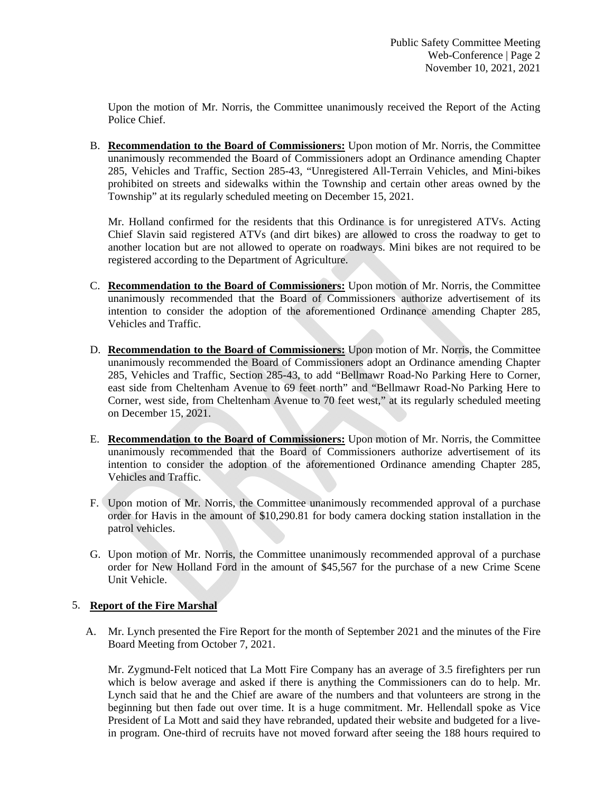Upon the motion of Mr. Norris, the Committee unanimously received the Report of the Acting Police Chief.

B. **Recommendation to the Board of Commissioners:** Upon motion of Mr. Norris, the Committee unanimously recommended the Board of Commissioners adopt an Ordinance amending Chapter 285, Vehicles and Traffic, Section 285-43, "Unregistered All-Terrain Vehicles, and Mini-bikes prohibited on streets and sidewalks within the Township and certain other areas owned by the Township" at its regularly scheduled meeting on December 15, 2021.

 Mr. Holland confirmed for the residents that this Ordinance is for unregistered ATVs. Acting Chief Slavin said registered ATVs (and dirt bikes) are allowed to cross the roadway to get to another location but are not allowed to operate on roadways. Mini bikes are not required to be registered according to the Department of Agriculture.

- C. **Recommendation to the Board of Commissioners:** Upon motion of Mr. Norris, the Committee unanimously recommended that the Board of Commissioners authorize advertisement of its intention to consider the adoption of the aforementioned Ordinance amending Chapter 285, Vehicles and Traffic.
- D. **Recommendation to the Board of Commissioners:** Upon motion of Mr. Norris, the Committee unanimously recommended the Board of Commissioners adopt an Ordinance amending Chapter 285, Vehicles and Traffic, Section 285-43, to add "Bellmawr Road-No Parking Here to Corner, east side from Cheltenham Avenue to 69 feet north" and "Bellmawr Road-No Parking Here to Corner, west side, from Cheltenham Avenue to 70 feet west," at its regularly scheduled meeting on December 15, 2021.
- E. **Recommendation to the Board of Commissioners:** Upon motion of Mr. Norris, the Committee unanimously recommended that the Board of Commissioners authorize advertisement of its intention to consider the adoption of the aforementioned Ordinance amending Chapter 285, Vehicles and Traffic.
- F. Upon motion of Mr. Norris, the Committee unanimously recommended approval of a purchase order for Havis in the amount of \$10,290.81 for body camera docking station installation in the patrol vehicles.
- G. Upon motion of Mr. Norris, the Committee unanimously recommended approval of a purchase order for New Holland Ford in the amount of \$45,567 for the purchase of a new Crime Scene Unit Vehicle.

# 5. **Report of the Fire Marshal**

A. Mr. Lynch presented the Fire Report for the month of September 2021 and the minutes of the Fire Board Meeting from October 7, 2021.

Mr. Zygmund-Felt noticed that La Mott Fire Company has an average of 3.5 firefighters per run which is below average and asked if there is anything the Commissioners can do to help. Mr. Lynch said that he and the Chief are aware of the numbers and that volunteers are strong in the beginning but then fade out over time. It is a huge commitment. Mr. Hellendall spoke as Vice President of La Mott and said they have rebranded, updated their website and budgeted for a livein program. One-third of recruits have not moved forward after seeing the 188 hours required to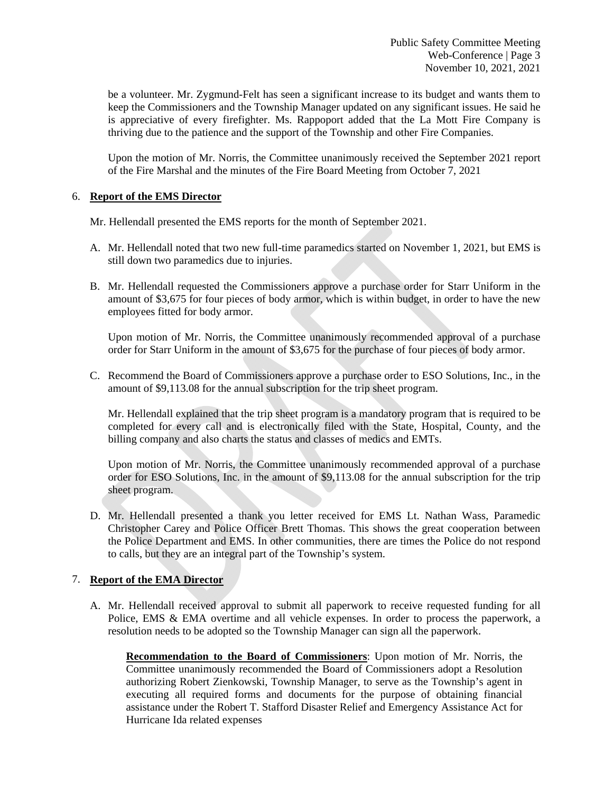be a volunteer. Mr. Zygmund-Felt has seen a significant increase to its budget and wants them to keep the Commissioners and the Township Manager updated on any significant issues. He said he is appreciative of every firefighter. Ms. Rappoport added that the La Mott Fire Company is thriving due to the patience and the support of the Township and other Fire Companies.

Upon the motion of Mr. Norris, the Committee unanimously received the September 2021 report of the Fire Marshal and the minutes of the Fire Board Meeting from October 7, 2021

#### 6. **Report of the EMS Director**

Mr. Hellendall presented the EMS reports for the month of September 2021.

- A. Mr. Hellendall noted that two new full-time paramedics started on November 1, 2021, but EMS is still down two paramedics due to injuries.
- B. Mr. Hellendall requested the Commissioners approve a purchase order for Starr Uniform in the amount of \$3,675 for four pieces of body armor, which is within budget, in order to have the new employees fitted for body armor.

Upon motion of Mr. Norris, the Committee unanimously recommended approval of a purchase order for Starr Uniform in the amount of \$3,675 for the purchase of four pieces of body armor.

C. Recommend the Board of Commissioners approve a purchase order to ESO Solutions, Inc., in the amount of \$9,113.08 for the annual subscription for the trip sheet program.

Mr. Hellendall explained that the trip sheet program is a mandatory program that is required to be completed for every call and is electronically filed with the State, Hospital, County, and the billing company and also charts the status and classes of medics and EMTs.

Upon motion of Mr. Norris, the Committee unanimously recommended approval of a purchase order for ESO Solutions, Inc. in the amount of \$9,113.08 for the annual subscription for the trip sheet program.

D. Mr. Hellendall presented a thank you letter received for EMS Lt. Nathan Wass, Paramedic Christopher Carey and Police Officer Brett Thomas. This shows the great cooperation between the Police Department and EMS. In other communities, there are times the Police do not respond to calls, but they are an integral part of the Township's system.

## 7. **Report of the EMA Director**

A. Mr. Hellendall received approval to submit all paperwork to receive requested funding for all Police, EMS & EMA overtime and all vehicle expenses. In order to process the paperwork, a resolution needs to be adopted so the Township Manager can sign all the paperwork.

**Recommendation to the Board of Commissioners**: Upon motion of Mr. Norris, the Committee unanimously recommended the Board of Commissioners adopt a Resolution authorizing Robert Zienkowski, Township Manager, to serve as the Township's agent in executing all required forms and documents for the purpose of obtaining financial assistance under the Robert T. Stafford Disaster Relief and Emergency Assistance Act for Hurricane Ida related expenses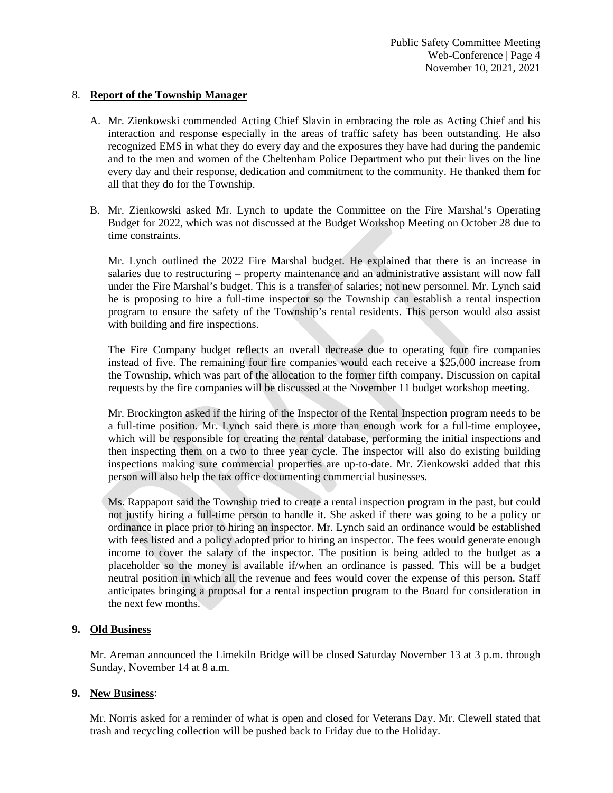### 8. **Report of the Township Manager**

- A. Mr. Zienkowski commended Acting Chief Slavin in embracing the role as Acting Chief and his interaction and response especially in the areas of traffic safety has been outstanding. He also recognized EMS in what they do every day and the exposures they have had during the pandemic and to the men and women of the Cheltenham Police Department who put their lives on the line every day and their response, dedication and commitment to the community. He thanked them for all that they do for the Township.
- B. Mr. Zienkowski asked Mr. Lynch to update the Committee on the Fire Marshal's Operating Budget for 2022, which was not discussed at the Budget Workshop Meeting on October 28 due to time constraints.

Mr. Lynch outlined the 2022 Fire Marshal budget. He explained that there is an increase in salaries due to restructuring – property maintenance and an administrative assistant will now fall under the Fire Marshal's budget. This is a transfer of salaries; not new personnel. Mr. Lynch said he is proposing to hire a full-time inspector so the Township can establish a rental inspection program to ensure the safety of the Township's rental residents. This person would also assist with building and fire inspections.

The Fire Company budget reflects an overall decrease due to operating four fire companies instead of five. The remaining four fire companies would each receive a \$25,000 increase from the Township, which was part of the allocation to the former fifth company. Discussion on capital requests by the fire companies will be discussed at the November 11 budget workshop meeting.

 Mr. Brockington asked if the hiring of the Inspector of the Rental Inspection program needs to be a full-time position. Mr. Lynch said there is more than enough work for a full-time employee, which will be responsible for creating the rental database, performing the initial inspections and then inspecting them on a two to three year cycle. The inspector will also do existing building inspections making sure commercial properties are up-to-date. Mr. Zienkowski added that this person will also help the tax office documenting commercial businesses.

Ms. Rappaport said the Township tried to create a rental inspection program in the past, but could not justify hiring a full-time person to handle it. She asked if there was going to be a policy or ordinance in place prior to hiring an inspector. Mr. Lynch said an ordinance would be established with fees listed and a policy adopted prior to hiring an inspector. The fees would generate enough income to cover the salary of the inspector. The position is being added to the budget as a placeholder so the money is available if/when an ordinance is passed. This will be a budget neutral position in which all the revenue and fees would cover the expense of this person. Staff anticipates bringing a proposal for a rental inspection program to the Board for consideration in the next few months.

## **9. Old Business**

 Mr. Areman announced the Limekiln Bridge will be closed Saturday November 13 at 3 p.m. through Sunday, November 14 at 8 a.m.

## **9. New Business**:

Mr. Norris asked for a reminder of what is open and closed for Veterans Day. Mr. Clewell stated that trash and recycling collection will be pushed back to Friday due to the Holiday.